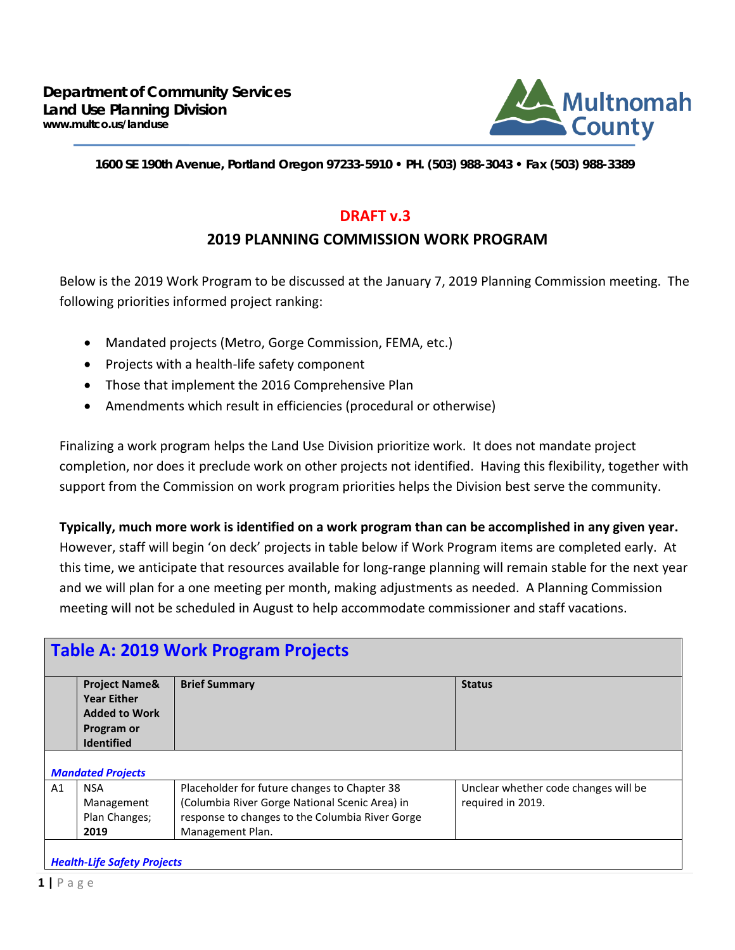

**1600 SE 190th Avenue, Portland Oregon 97233-5910 • PH. (503) 988-3043 • Fax (503) 988-3389**

## **DRAFT v.3**

## **2019 PLANNING COMMISSION WORK PROGRAM**

Below is the 2019 Work Program to be discussed at the January 7, 2019 Planning Commission meeting. The following priorities informed project ranking:

- Mandated projects (Metro, Gorge Commission, FEMA, etc.)
- Projects with a health-life safety component
- Those that implement the 2016 Comprehensive Plan
- Amendments which result in efficiencies (procedural or otherwise)

Finalizing a work program helps the Land Use Division prioritize work. It does not mandate project completion, nor does it preclude work on other projects not identified. Having this flexibility, together with support from the Commission on work program priorities helps the Division best serve the community.

**Typically, much more work is identified on a work program than can be accomplished in any given year.**

However, staff will begin 'on deck' projects in table below if Work Program items are completed early. At this time, we anticipate that resources available for long-range planning will remain stable for the next year and we will plan for a one meeting per month, making adjustments as needed. A Planning Commission meeting will not be scheduled in August to help accommodate commissioner and staff vacations.

| <b>Table A: 2019 Work Program Projects</b> |                                                                                                           |                                                                                                                                                                       |                                                           |  |
|--------------------------------------------|-----------------------------------------------------------------------------------------------------------|-----------------------------------------------------------------------------------------------------------------------------------------------------------------------|-----------------------------------------------------------|--|
|                                            | <b>Project Name&amp;</b><br><b>Year Either</b><br><b>Added to Work</b><br>Program or<br><b>Identified</b> | <b>Brief Summary</b>                                                                                                                                                  | <b>Status</b>                                             |  |
| <b>Mandated Projects</b>                   |                                                                                                           |                                                                                                                                                                       |                                                           |  |
| A1                                         | <b>NSA</b><br>Management<br>Plan Changes;<br>2019                                                         | Placeholder for future changes to Chapter 38<br>(Columbia River Gorge National Scenic Area) in<br>response to changes to the Columbia River Gorge<br>Management Plan. | Unclear whether code changes will be<br>required in 2019. |  |
| <b>Health-Life Safety Projects</b>         |                                                                                                           |                                                                                                                                                                       |                                                           |  |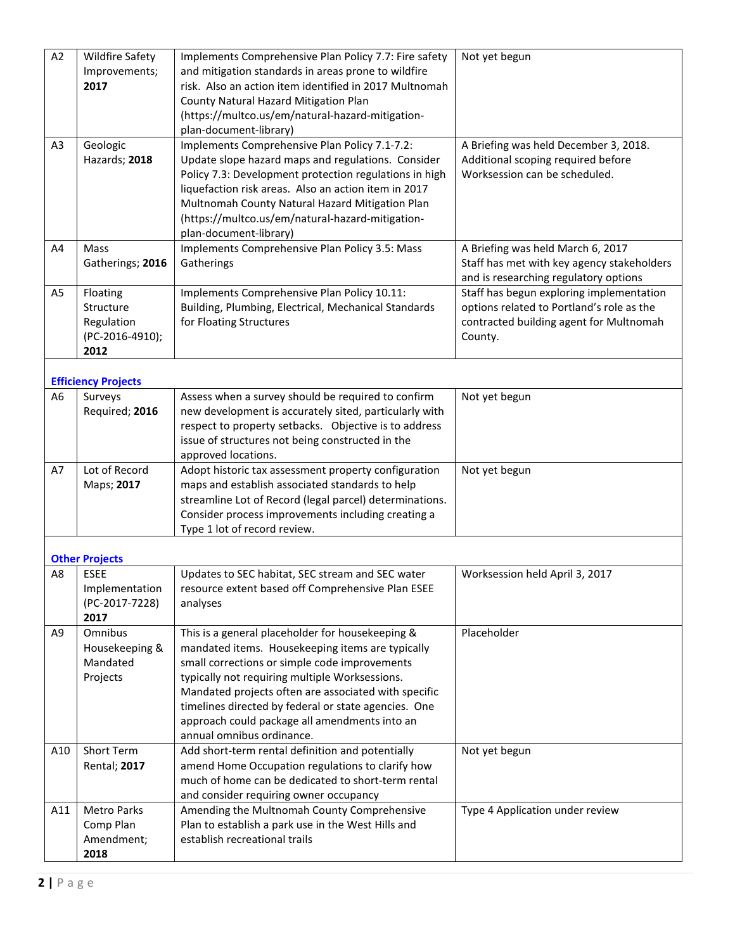| A2             | <b>Wildfire Safety</b><br>Improvements;<br>2017                | Implements Comprehensive Plan Policy 7.7: Fire safety<br>and mitigation standards in areas prone to wildfire<br>risk. Also an action item identified in 2017 Multnomah<br>County Natural Hazard Mitigation Plan<br>(https://multco.us/em/natural-hazard-mitigation-<br>plan-document-library)                                                                                                         | Not yet begun                                                                                                                               |
|----------------|----------------------------------------------------------------|-------------------------------------------------------------------------------------------------------------------------------------------------------------------------------------------------------------------------------------------------------------------------------------------------------------------------------------------------------------------------------------------------------|---------------------------------------------------------------------------------------------------------------------------------------------|
| A <sub>3</sub> | Geologic<br>Hazards; 2018                                      | Implements Comprehensive Plan Policy 7.1-7.2:<br>Update slope hazard maps and regulations. Consider<br>Policy 7.3: Development protection regulations in high<br>liquefaction risk areas. Also an action item in 2017<br>Multnomah County Natural Hazard Mitigation Plan<br>(https://multco.us/em/natural-hazard-mitigation-<br>plan-document-library)                                                | A Briefing was held December 3, 2018.<br>Additional scoping required before<br>Worksession can be scheduled.                                |
| A4             | Mass<br>Gatherings; 2016                                       | Implements Comprehensive Plan Policy 3.5: Mass<br>Gatherings                                                                                                                                                                                                                                                                                                                                          | A Briefing was held March 6, 2017<br>Staff has met with key agency stakeholders<br>and is researching regulatory options                    |
| A <sub>5</sub> | Floating<br>Structure<br>Regulation<br>(PC-2016-4910);<br>2012 | Implements Comprehensive Plan Policy 10.11:<br>Building, Plumbing, Electrical, Mechanical Standards<br>for Floating Structures                                                                                                                                                                                                                                                                        | Staff has begun exploring implementation<br>options related to Portland's role as the<br>contracted building agent for Multnomah<br>County. |
|                | <b>Efficiency Projects</b>                                     |                                                                                                                                                                                                                                                                                                                                                                                                       |                                                                                                                                             |
| A <sub>6</sub> | Surveys<br>Required; 2016                                      | Assess when a survey should be required to confirm<br>new development is accurately sited, particularly with<br>respect to property setbacks. Objective is to address<br>issue of structures not being constructed in the<br>approved locations.                                                                                                                                                      | Not yet begun                                                                                                                               |
| A7             | Lot of Record<br>Maps; 2017                                    | Adopt historic tax assessment property configuration<br>maps and establish associated standards to help<br>streamline Lot of Record (legal parcel) determinations.<br>Consider process improvements including creating a<br>Type 1 lot of record review.                                                                                                                                              | Not yet begun                                                                                                                               |
|                | <b>Other Projects</b>                                          |                                                                                                                                                                                                                                                                                                                                                                                                       |                                                                                                                                             |
| A8             | <b>ESEE</b><br>Implementation<br>(PC-2017-7228)<br>2017        | Updates to SEC habitat, SEC stream and SEC water<br>resource extent based off Comprehensive Plan ESEE<br>analyses                                                                                                                                                                                                                                                                                     | Worksession held April 3, 2017                                                                                                              |
| A <sub>9</sub> | Omnibus<br>Housekeeping &<br>Mandated<br>Projects              | This is a general placeholder for housekeeping &<br>mandated items. Housekeeping items are typically<br>small corrections or simple code improvements<br>typically not requiring multiple Worksessions.<br>Mandated projects often are associated with specific<br>timelines directed by federal or state agencies. One<br>approach could package all amendments into an<br>annual omnibus ordinance. | Placeholder                                                                                                                                 |
| A10            | Short Term<br><b>Rental</b> ; 2017                             | Add short-term rental definition and potentially<br>amend Home Occupation regulations to clarify how<br>much of home can be dedicated to short-term rental<br>and consider requiring owner occupancy                                                                                                                                                                                                  | Not yet begun                                                                                                                               |
| A11            | <b>Metro Parks</b><br>Comp Plan<br>Amendment;<br>2018          | Amending the Multnomah County Comprehensive<br>Plan to establish a park use in the West Hills and<br>establish recreational trails                                                                                                                                                                                                                                                                    | Type 4 Application under review                                                                                                             |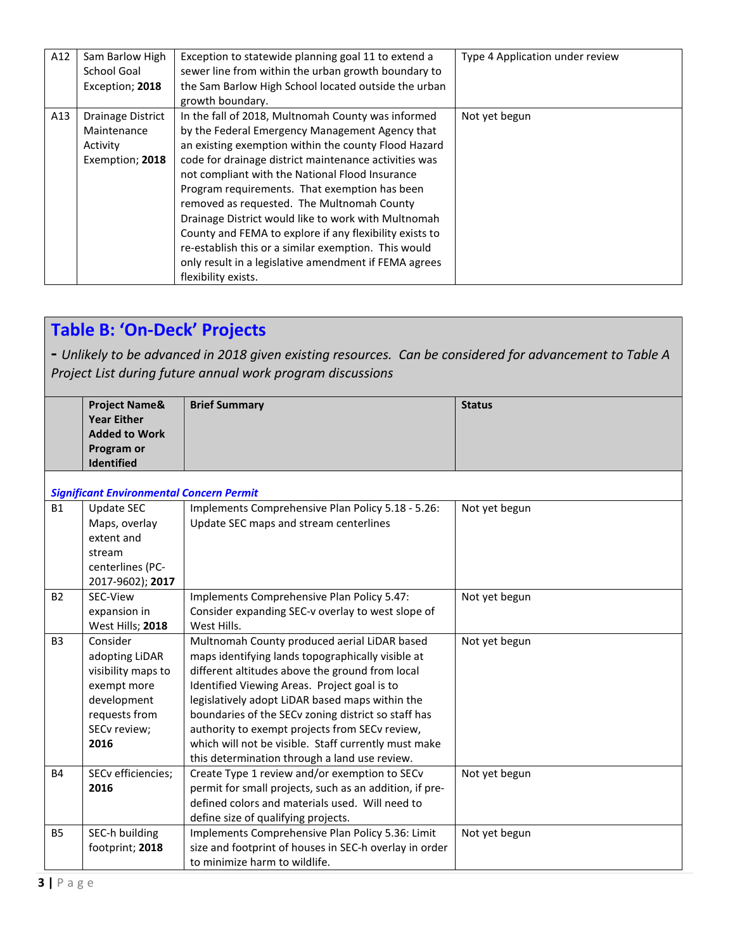| A12 | Sam Barlow High<br>School Goal<br>Exception; 2018               | Exception to statewide planning goal 11 to extend a<br>sewer line from within the urban growth boundary to<br>the Sam Barlow High School located outside the urban<br>growth boundary.                                                                                                                                                                                                                                                                                                                                                                                                                                             | Type 4 Application under review |
|-----|-----------------------------------------------------------------|------------------------------------------------------------------------------------------------------------------------------------------------------------------------------------------------------------------------------------------------------------------------------------------------------------------------------------------------------------------------------------------------------------------------------------------------------------------------------------------------------------------------------------------------------------------------------------------------------------------------------------|---------------------------------|
| A13 | Drainage District<br>Maintenance<br>Activity<br>Exemption; 2018 | In the fall of 2018, Multnomah County was informed<br>by the Federal Emergency Management Agency that<br>an existing exemption within the county Flood Hazard<br>code for drainage district maintenance activities was<br>not compliant with the National Flood Insurance<br>Program requirements. That exemption has been<br>removed as requested. The Multnomah County<br>Drainage District would like to work with Multnomah<br>County and FEMA to explore if any flexibility exists to<br>re-establish this or a similar exemption. This would<br>only result in a legislative amendment if FEMA agrees<br>flexibility exists. | Not yet begun                   |

## **Table B: 'On-Deck' Projects**

**-** *Unlikely to be advanced in 2018 given existing resources. Can be considered for advancement to Table A Project List during future annual work program discussions*

|                | <b>Project Name&amp;</b>                        | <b>Brief Summary</b>                                    | <b>Status</b> |
|----------------|-------------------------------------------------|---------------------------------------------------------|---------------|
|                | <b>Year Either</b>                              |                                                         |               |
|                | <b>Added to Work</b>                            |                                                         |               |
|                | Program or                                      |                                                         |               |
|                | <b>Identified</b>                               |                                                         |               |
|                |                                                 |                                                         |               |
|                | <b>Significant Environmental Concern Permit</b> |                                                         |               |
| <b>B1</b>      | <b>Update SEC</b>                               | Implements Comprehensive Plan Policy 5.18 - 5.26:       | Not yet begun |
|                | Maps, overlay                                   | Update SEC maps and stream centerlines                  |               |
|                | extent and                                      |                                                         |               |
|                | stream                                          |                                                         |               |
|                | centerlines (PC-                                |                                                         |               |
|                | 2017-9602); 2017                                |                                                         |               |
| <b>B2</b>      | SEC-View                                        | Implements Comprehensive Plan Policy 5.47:              | Not yet begun |
|                | expansion in                                    | Consider expanding SEC-v overlay to west slope of       |               |
|                | West Hills; 2018                                | West Hills.                                             |               |
| B <sub>3</sub> | Consider                                        | Multnomah County produced aerial LiDAR based            | Not yet begun |
|                | adopting LiDAR                                  | maps identifying lands topographically visible at       |               |
|                | visibility maps to                              | different altitudes above the ground from local         |               |
|                | exempt more                                     | Identified Viewing Areas. Project goal is to            |               |
|                | development                                     | legislatively adopt LiDAR based maps within the         |               |
|                | requests from                                   | boundaries of the SECv zoning district so staff has     |               |
|                | SECv review;                                    | authority to exempt projects from SECv review,          |               |
|                | 2016                                            | which will not be visible. Staff currently must make    |               |
|                |                                                 | this determination through a land use review.           |               |
| <b>B4</b>      | SECv efficiencies;                              | Create Type 1 review and/or exemption to SECv           | Not yet begun |
|                | 2016                                            | permit for small projects, such as an addition, if pre- |               |
|                |                                                 | defined colors and materials used. Will need to         |               |
|                |                                                 | define size of qualifying projects.                     |               |
| <b>B5</b>      | SEC-h building                                  | Implements Comprehensive Plan Policy 5.36: Limit        | Not yet begun |
|                | footprint; 2018                                 | size and footprint of houses in SEC-h overlay in order  |               |
|                |                                                 | to minimize harm to wildlife.                           |               |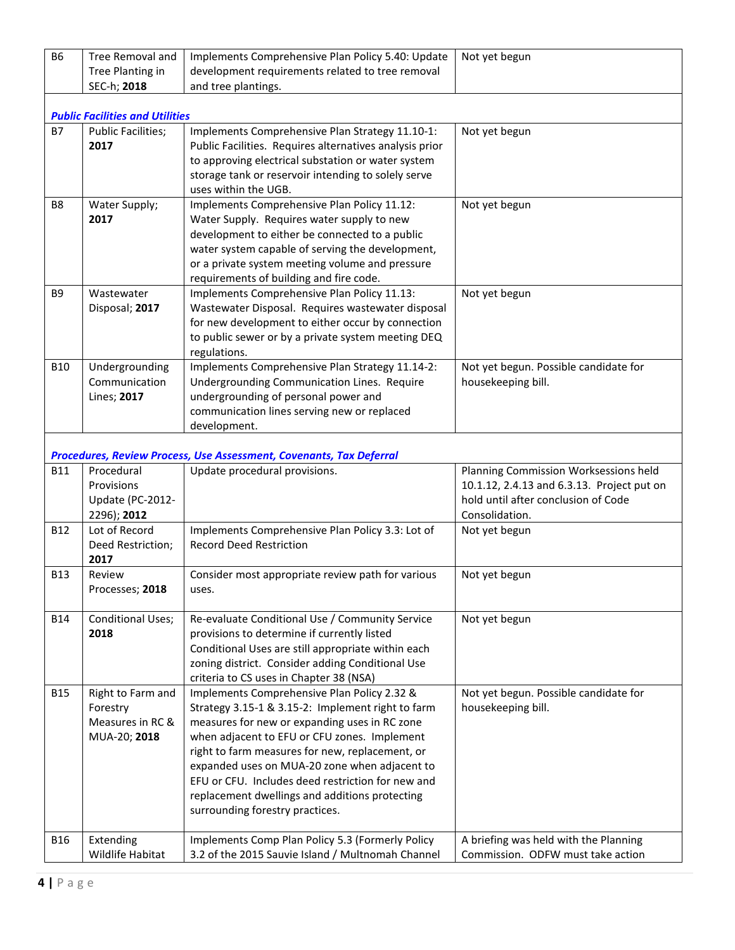| <b>B6</b>      | Tree Removal and<br>Tree Planting in   | Implements Comprehensive Plan Policy 5.40: Update<br>development requirements related to tree removal | Not yet begun                                               |  |  |
|----------------|----------------------------------------|-------------------------------------------------------------------------------------------------------|-------------------------------------------------------------|--|--|
|                | SEC-h; 2018                            | and tree plantings.                                                                                   |                                                             |  |  |
|                | <b>Public Facilities and Utilities</b> |                                                                                                       |                                                             |  |  |
| <b>B7</b>      | <b>Public Facilities;</b>              | Implements Comprehensive Plan Strategy 11.10-1:                                                       | Not yet begun                                               |  |  |
|                | 2017                                   | Public Facilities. Requires alternatives analysis prior                                               |                                                             |  |  |
|                |                                        | to approving electrical substation or water system                                                    |                                                             |  |  |
|                |                                        | storage tank or reservoir intending to solely serve                                                   |                                                             |  |  |
|                |                                        | uses within the UGB.                                                                                  |                                                             |  |  |
| B <sub>8</sub> | Water Supply;                          | Implements Comprehensive Plan Policy 11.12:                                                           | Not yet begun                                               |  |  |
|                | 2017                                   | Water Supply. Requires water supply to new                                                            |                                                             |  |  |
|                |                                        | development to either be connected to a public                                                        |                                                             |  |  |
|                |                                        | water system capable of serving the development,                                                      |                                                             |  |  |
|                |                                        | or a private system meeting volume and pressure                                                       |                                                             |  |  |
|                |                                        | requirements of building and fire code.                                                               |                                                             |  |  |
| B <sub>9</sub> | Wastewater                             | Implements Comprehensive Plan Policy 11.13:                                                           | Not yet begun                                               |  |  |
|                | Disposal; 2017                         | Wastewater Disposal. Requires wastewater disposal                                                     |                                                             |  |  |
|                |                                        | for new development to either occur by connection                                                     |                                                             |  |  |
|                |                                        | to public sewer or by a private system meeting DEQ                                                    |                                                             |  |  |
| <b>B10</b>     | Undergrounding                         | regulations.<br>Implements Comprehensive Plan Strategy 11.14-2:                                       | Not yet begun. Possible candidate for                       |  |  |
|                | Communication                          | Undergrounding Communication Lines. Require                                                           | housekeeping bill.                                          |  |  |
|                | Lines; 2017                            | undergrounding of personal power and                                                                  |                                                             |  |  |
|                |                                        | communication lines serving new or replaced                                                           |                                                             |  |  |
|                |                                        | development.                                                                                          |                                                             |  |  |
|                |                                        |                                                                                                       |                                                             |  |  |
|                |                                        | Procedures, Review Process, Use Assessment, Covenants, Tax Deferral                                   |                                                             |  |  |
| <b>B11</b>     | Procedural                             | Update procedural provisions.                                                                         | Planning Commission Worksessions held                       |  |  |
|                | Provisions                             |                                                                                                       | 10.1.12, 2.4.13 and 6.3.13. Project put on                  |  |  |
|                | Update (PC-2012-                       |                                                                                                       | hold until after conclusion of Code                         |  |  |
| <b>B12</b>     | 2296); 2012<br>Lot of Record           | Implements Comprehensive Plan Policy 3.3: Lot of                                                      | Consolidation.                                              |  |  |
|                | Deed Restriction;                      | <b>Record Deed Restriction</b>                                                                        | Not yet begun                                               |  |  |
|                | 2017                                   |                                                                                                       |                                                             |  |  |
| <b>B13</b>     | Review                                 | Consider most appropriate review path for various                                                     | Not yet begun                                               |  |  |
|                | Processes; 2018                        | uses.                                                                                                 |                                                             |  |  |
|                |                                        |                                                                                                       |                                                             |  |  |
| <b>B14</b>     | Conditional Uses;                      | Re-evaluate Conditional Use / Community Service                                                       | Not yet begun                                               |  |  |
|                | 2018                                   | provisions to determine if currently listed                                                           |                                                             |  |  |
|                |                                        | Conditional Uses are still appropriate within each                                                    |                                                             |  |  |
|                |                                        | zoning district. Consider adding Conditional Use                                                      |                                                             |  |  |
|                |                                        | criteria to CS uses in Chapter 38 (NSA)                                                               |                                                             |  |  |
| <b>B15</b>     | Right to Farm and<br>Forestry          | Implements Comprehensive Plan Policy 2.32 &<br>Strategy 3.15-1 & 3.15-2: Implement right to farm      | Not yet begun. Possible candidate for<br>housekeeping bill. |  |  |
|                | Measures in RC &                       | measures for new or expanding uses in RC zone                                                         |                                                             |  |  |
|                | MUA-20; 2018                           | when adjacent to EFU or CFU zones. Implement                                                          |                                                             |  |  |
|                |                                        | right to farm measures for new, replacement, or                                                       |                                                             |  |  |
|                |                                        | expanded uses on MUA-20 zone when adjacent to                                                         |                                                             |  |  |
|                |                                        | EFU or CFU. Includes deed restriction for new and                                                     |                                                             |  |  |
|                |                                        | replacement dwellings and additions protecting                                                        |                                                             |  |  |
|                |                                        | surrounding forestry practices.                                                                       |                                                             |  |  |
|                |                                        |                                                                                                       |                                                             |  |  |
| <b>B16</b>     | Extending                              | Implements Comp Plan Policy 5.3 (Formerly Policy                                                      | A briefing was held with the Planning                       |  |  |
|                | Wildlife Habitat                       | 3.2 of the 2015 Sauvie Island / Multnomah Channel                                                     | Commission. ODFW must take action                           |  |  |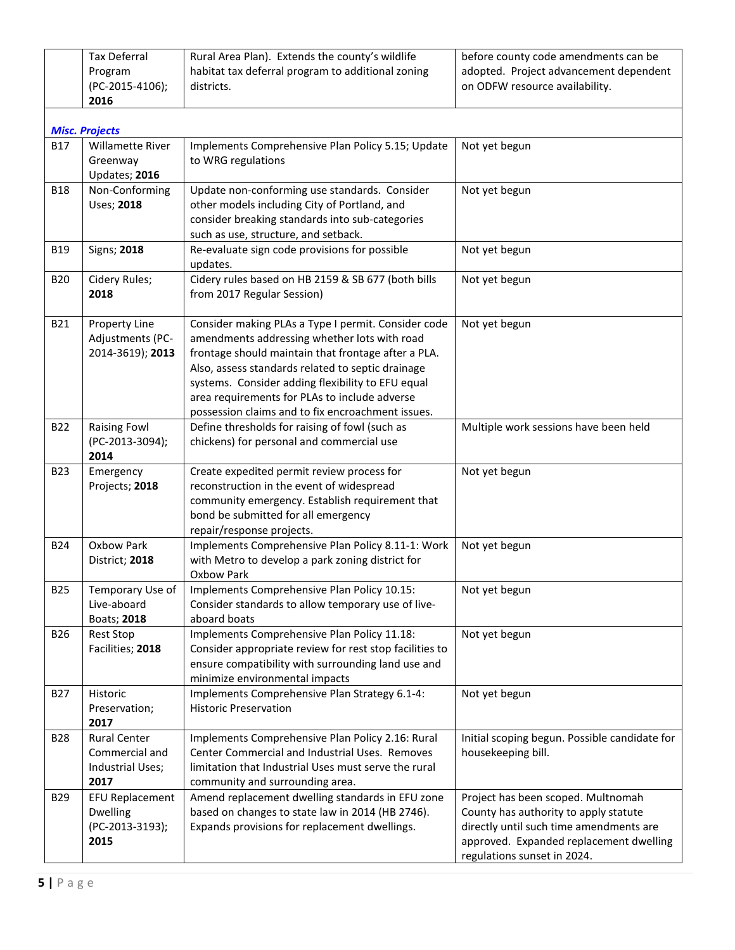|                       | <b>Tax Deferral</b>      | Rural Area Plan). Extends the county's wildlife         | before county code amendments can be          |
|-----------------------|--------------------------|---------------------------------------------------------|-----------------------------------------------|
|                       | Program                  | habitat tax deferral program to additional zoning       | adopted. Project advancement dependent        |
|                       | (PC-2015-4106);          | districts.                                              | on ODFW resource availability.                |
|                       | 2016                     |                                                         |                                               |
|                       |                          |                                                         |                                               |
| <b>Misc. Projects</b> |                          |                                                         |                                               |
| <b>B17</b>            | <b>Willamette River</b>  | Implements Comprehensive Plan Policy 5.15; Update       | Not yet begun                                 |
|                       | Greenway                 | to WRG regulations                                      |                                               |
|                       | Updates; 2016            |                                                         |                                               |
| <b>B18</b>            | Non-Conforming           | Update non-conforming use standards. Consider           | Not yet begun                                 |
|                       | Uses; 2018               | other models including City of Portland, and            |                                               |
|                       |                          | consider breaking standards into sub-categories         |                                               |
|                       |                          | such as use, structure, and setback.                    |                                               |
| <b>B19</b>            | Signs; 2018              | Re-evaluate sign code provisions for possible           | Not yet begun                                 |
|                       |                          | updates.                                                |                                               |
| <b>B20</b>            | Cidery Rules;            | Cidery rules based on HB 2159 & SB 677 (both bills      | Not yet begun                                 |
|                       | 2018                     | from 2017 Regular Session)                              |                                               |
|                       |                          |                                                         |                                               |
| B21                   | Property Line            | Consider making PLAs a Type I permit. Consider code     | Not yet begun                                 |
|                       | Adjustments (PC-         | amendments addressing whether lots with road            |                                               |
|                       | 2014-3619); 2013         | frontage should maintain that frontage after a PLA.     |                                               |
|                       |                          | Also, assess standards related to septic drainage       |                                               |
|                       |                          | systems. Consider adding flexibility to EFU equal       |                                               |
|                       |                          | area requirements for PLAs to include adverse           |                                               |
|                       |                          | possession claims and to fix encroachment issues.       |                                               |
| <b>B22</b>            | <b>Raising Fowl</b>      | Define thresholds for raising of fowl (such as          | Multiple work sessions have been held         |
|                       | (PC-2013-3094);          | chickens) for personal and commercial use               |                                               |
|                       | 2014                     |                                                         |                                               |
| <b>B23</b>            | Emergency                | Create expedited permit review process for              | Not yet begun                                 |
|                       | Projects; 2018           | reconstruction in the event of widespread               |                                               |
|                       |                          | community emergency. Establish requirement that         |                                               |
|                       |                          | bond be submitted for all emergency                     |                                               |
|                       |                          | repair/response projects.                               |                                               |
| <b>B24</b>            | Oxbow Park               | Implements Comprehensive Plan Policy 8.11-1: Work       | Not yet begun                                 |
|                       | District; 2018           | with Metro to develop a park zoning district for        |                                               |
|                       |                          | Oxbow Park                                              |                                               |
| B <sub>25</sub>       | Temporary Use of         | Implements Comprehensive Plan Policy 10.15:             | Not yet begun                                 |
|                       | Live-aboard              | Consider standards to allow temporary use of live-      |                                               |
|                       | Boats; 2018              | aboard boats                                            |                                               |
| B26                   | <b>Rest Stop</b>         | Implements Comprehensive Plan Policy 11.18:             | Not yet begun                                 |
|                       | Facilities; 2018         | Consider appropriate review for rest stop facilities to |                                               |
|                       |                          | ensure compatibility with surrounding land use and      |                                               |
|                       |                          | minimize environmental impacts                          |                                               |
| <b>B27</b>            | Historic                 | Implements Comprehensive Plan Strategy 6.1-4:           | Not yet begun                                 |
|                       | Preservation;            | <b>Historic Preservation</b>                            |                                               |
|                       | 2017                     |                                                         |                                               |
|                       | <b>Rural Center</b>      | Implements Comprehensive Plan Policy 2.16: Rural        | Initial scoping begun. Possible candidate for |
| <b>B28</b>            | Commercial and           | Center Commercial and Industrial Uses. Removes          | housekeeping bill.                            |
|                       |                          |                                                         |                                               |
|                       |                          | limitation that Industrial Uses must serve the rural    |                                               |
|                       | Industrial Uses;<br>2017 | community and surrounding area.                         |                                               |
| <b>B29</b>            | <b>EFU Replacement</b>   | Amend replacement dwelling standards in EFU zone        | Project has been scoped. Multnomah            |
|                       | Dwelling                 | based on changes to state law in 2014 (HB 2746).        | County has authority to apply statute         |
|                       | (PC-2013-3193);          | Expands provisions for replacement dwellings.           | directly until such time amendments are       |
|                       | 2015                     |                                                         | approved. Expanded replacement dwelling       |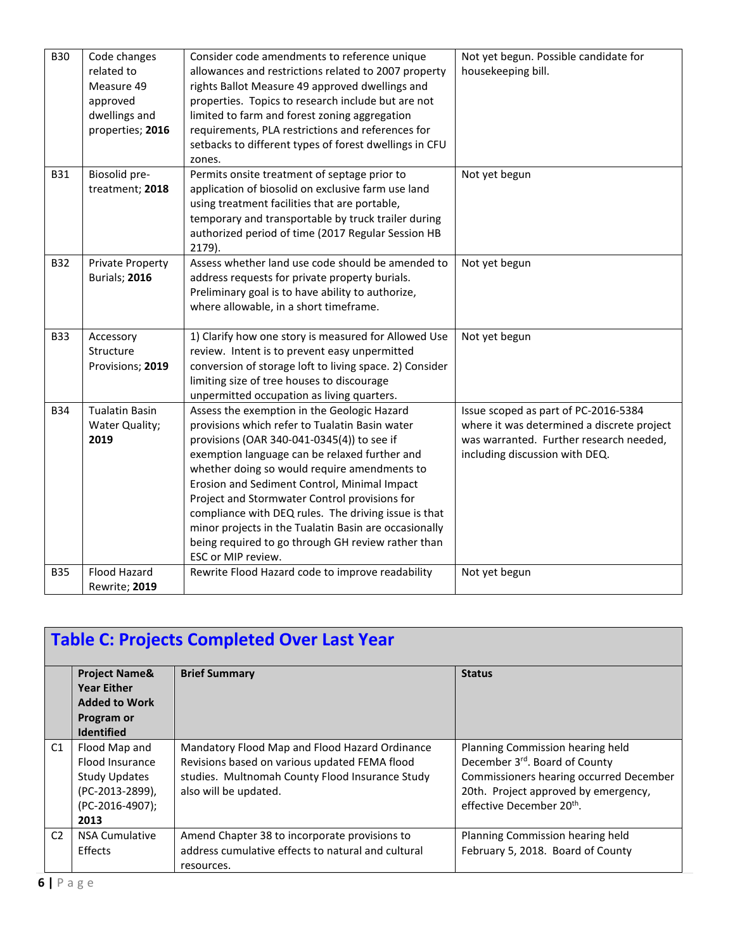| <b>B30</b> | Code changes            | Consider code amendments to reference unique            | Not yet begun. Possible candidate for      |
|------------|-------------------------|---------------------------------------------------------|--------------------------------------------|
|            | related to              | allowances and restrictions related to 2007 property    | housekeeping bill.                         |
|            | Measure 49              | rights Ballot Measure 49 approved dwellings and         |                                            |
|            | approved                | properties. Topics to research include but are not      |                                            |
|            | dwellings and           | limited to farm and forest zoning aggregation           |                                            |
|            | properties; 2016        | requirements, PLA restrictions and references for       |                                            |
|            |                         | setbacks to different types of forest dwellings in CFU  |                                            |
|            |                         | zones.                                                  |                                            |
| <b>B31</b> | Biosolid pre-           | Permits onsite treatment of septage prior to            | Not yet begun                              |
|            | treatment; 2018         | application of biosolid on exclusive farm use land      |                                            |
|            |                         | using treatment facilities that are portable,           |                                            |
|            |                         | temporary and transportable by truck trailer during     |                                            |
|            |                         | authorized period of time (2017 Regular Session HB      |                                            |
|            |                         | 2179).                                                  |                                            |
| <b>B32</b> | <b>Private Property</b> | Assess whether land use code should be amended to       | Not yet begun                              |
|            | Burials; 2016           | address requests for private property burials.          |                                            |
|            |                         | Preliminary goal is to have ability to authorize,       |                                            |
|            |                         | where allowable, in a short timeframe.                  |                                            |
|            |                         |                                                         |                                            |
| <b>B33</b> | Accessory               | 1) Clarify how one story is measured for Allowed Use    | Not yet begun                              |
|            | Structure               | review. Intent is to prevent easy unpermitted           |                                            |
|            | Provisions; 2019        | conversion of storage loft to living space. 2) Consider |                                            |
|            |                         | limiting size of tree houses to discourage              |                                            |
|            |                         | unpermitted occupation as living quarters.              |                                            |
| <b>B34</b> | <b>Tualatin Basin</b>   | Assess the exemption in the Geologic Hazard             | Issue scoped as part of PC-2016-5384       |
|            | Water Quality;          | provisions which refer to Tualatin Basin water          | where it was determined a discrete project |
|            | 2019                    | provisions (OAR 340-041-0345(4)) to see if              | was warranted. Further research needed,    |
|            |                         | exemption language can be relaxed further and           | including discussion with DEQ.             |
|            |                         | whether doing so would require amendments to            |                                            |
|            |                         | Erosion and Sediment Control, Minimal Impact            |                                            |
|            |                         | Project and Stormwater Control provisions for           |                                            |
|            |                         | compliance with DEQ rules. The driving issue is that    |                                            |
|            |                         | minor projects in the Tualatin Basin are occasionally   |                                            |
|            |                         | being required to go through GH review rather than      |                                            |
|            |                         | ESC or MIP review.                                      |                                            |
| <b>B35</b> | Flood Hazard            | Rewrite Flood Hazard code to improve readability        | Not yet begun                              |
|            | Rewrite; 2019           |                                                         |                                            |

|                | <b>Table C: Projects Completed Over Last Year</b>                      |                                                    |                                         |  |  |
|----------------|------------------------------------------------------------------------|----------------------------------------------------|-----------------------------------------|--|--|
|                | <b>Project Name&amp;</b><br><b>Year Either</b><br><b>Added to Work</b> | <b>Brief Summary</b>                               | <b>Status</b>                           |  |  |
|                | Program or<br><b>Identified</b>                                        |                                                    |                                         |  |  |
| C1             | Flood Map and                                                          | Mandatory Flood Map and Flood Hazard Ordinance     | Planning Commission hearing held        |  |  |
|                | Flood Insurance                                                        | Revisions based on various updated FEMA flood      | December 3rd. Board of County           |  |  |
|                | <b>Study Updates</b>                                                   | studies. Multnomah County Flood Insurance Study    | Commissioners hearing occurred December |  |  |
|                | (PC-2013-2899),                                                        | also will be updated.                              | 20th. Project approved by emergency,    |  |  |
|                | (PC-2016-4907);                                                        |                                                    | effective December 20 <sup>th</sup> .   |  |  |
|                | 2013                                                                   |                                                    |                                         |  |  |
| C <sub>2</sub> | <b>NSA Cumulative</b>                                                  | Amend Chapter 38 to incorporate provisions to      | Planning Commission hearing held        |  |  |
|                | <b>Effects</b>                                                         | address cumulative effects to natural and cultural | February 5, 2018. Board of County       |  |  |
|                |                                                                        | resources.                                         |                                         |  |  |